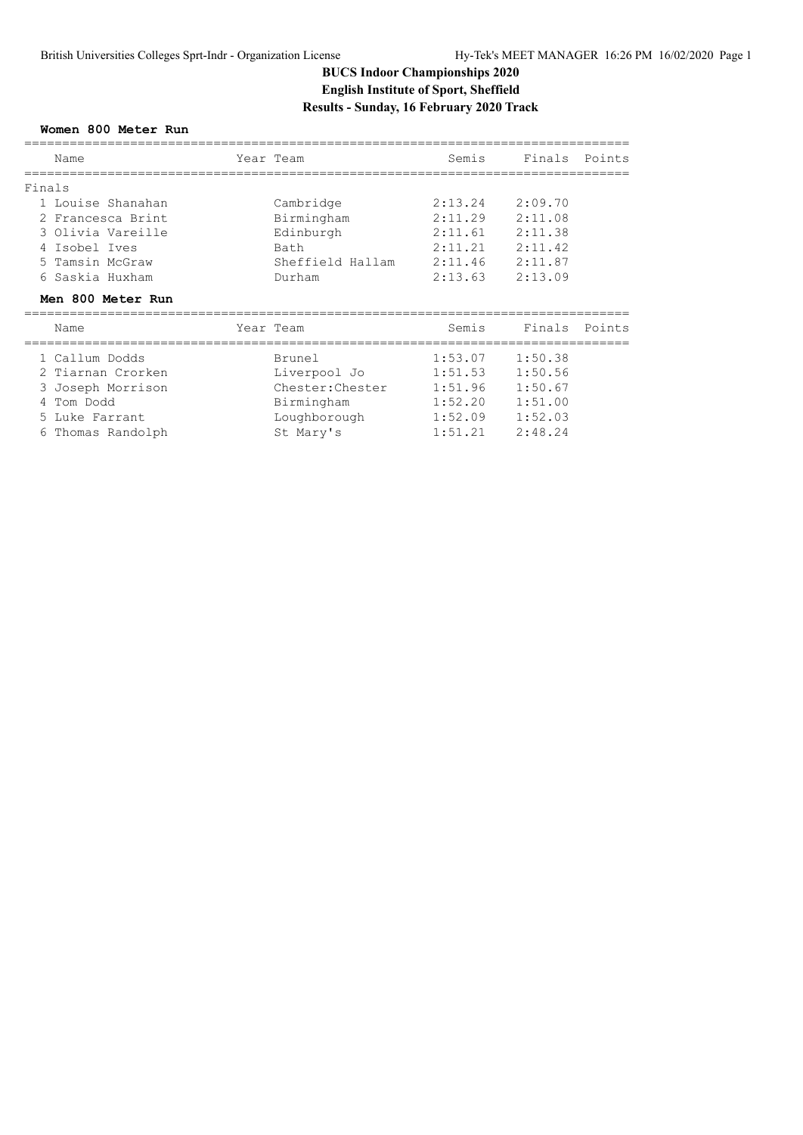# **BUCS Indoor Championships 2020 English Institute of Sport, Sheffield Results - Sunday, 16 February 2020 Track**

#### **Women 800 Meter Run**

|        | Name                          | Year Team        | Semis   | Finals  | Points |
|--------|-------------------------------|------------------|---------|---------|--------|
| Finals |                               |                  |         |         |        |
|        | 1 Louise Shanahan             | Cambridge        | 2:13.24 | 2:09.70 |        |
|        | 2 Francesca Brint             | Birmingham       | 2:11.29 | 2:11.08 |        |
|        | 3 Olivia Vareille             | Edinburgh        | 2:11.61 | 2:11.38 |        |
|        | Isobel Ives                   | Bath             | 2:11.21 | 2:11.42 |        |
|        | 5 Tamsin McGraw               | Sheffield Hallam | 2:11.46 | 2:11.87 |        |
|        | 6 Saskia Huxham               | Durham           | 2:13.63 | 2:13.09 |        |
|        | Men 800 Meter Run             |                  |         |         |        |
|        | Name                          | Year Team        | Semis   | Finals  | Points |
|        | 1 Callum Dodds                | Brunel           | 1:53.07 | 1:50.38 |        |
|        | 2 Tiarnan Crorken             | Liverpool Jo     | 1:51.53 | 1:50.56 |        |
|        |                               |                  |         |         |        |
|        |                               | Chester: Chester | 1:51.96 | 1:50.67 |        |
|        | 3 Joseph Morrison<br>Tom Dodd | Birmingham       | 1:52.20 | 1:51.00 |        |
| 5.     | Luke Farrant                  | Loughborough     | 1:52.09 | 1:52.03 |        |
|        | 6 Thomas Randolph             | St Mary's        | 1:51.21 | 2:48.24 |        |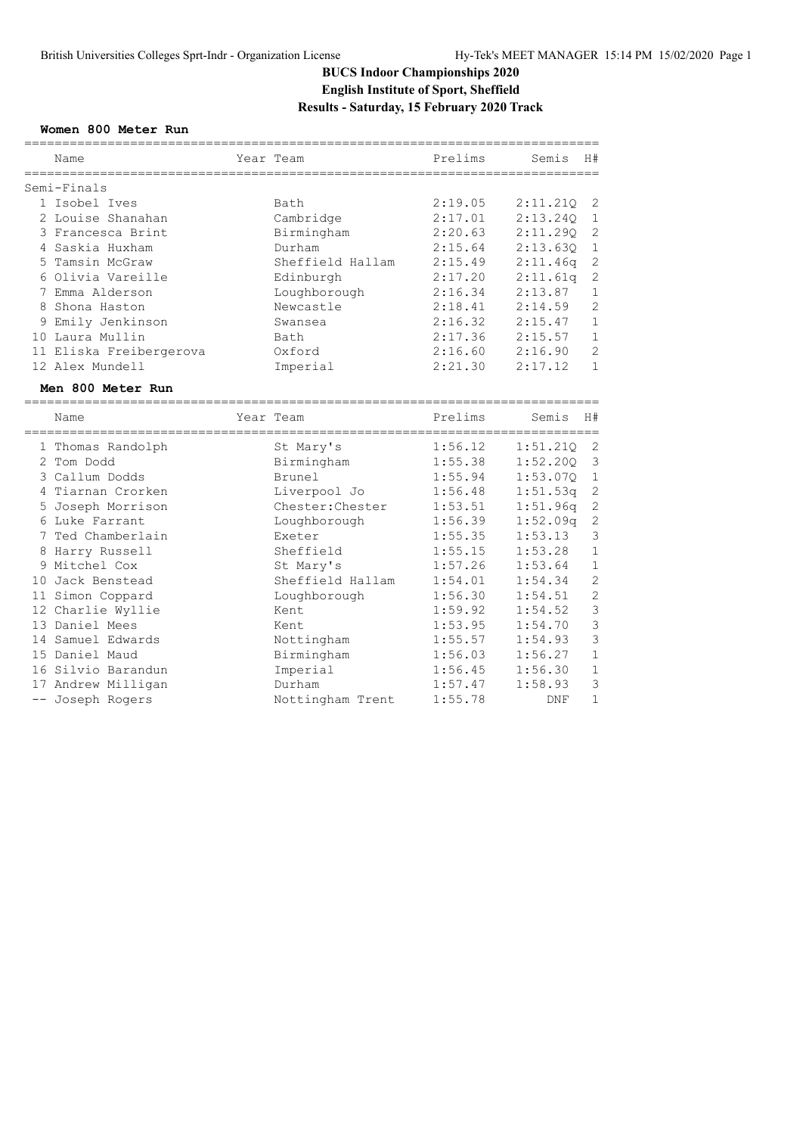# **BUCS Indoor Championships 2020 English Institute of Sport, Sheffield Results - Saturday, 15 February 2020 Track**

#### **Women 800 Meter Run**

|       | Name                    | Year Team        | Prelims                                     | Semis    | H#             |
|-------|-------------------------|------------------|---------------------------------------------|----------|----------------|
|       | Semi-Finals             |                  |                                             |          |                |
|       | 1 Isobel Ives           | Bath             | 2:19.05                                     | 2:11.21Q | 2              |
|       | 2 Louise Shanahan       | Cambridge        | 2:17.01                                     | 2:13.240 | $\mathbf 1$    |
|       | 3 Francesca Brint       | Birmingham       | 2:20.63                                     | 2:11.290 | $\mathbf{2}$   |
|       | 4 Saskia Huxham         | Durham           | 2:15.64                                     | 2:13.630 | $\mathbf 1$    |
| 5     | Tamsin McGraw           | Sheffield Hallam | 2:15.49                                     | 2:11.46q | $\sqrt{2}$     |
|       | 6 Olivia Vareille       | Edinburgh        | 2:17.20                                     | 2:11.61q | $\mathbf{2}$   |
|       | 7 Emma Alderson         | Loughborough     | 2:16.34                                     | 2:13.87  | $\mathbf{1}$   |
| 8     | Shona Haston            | Newcastle        | 2:18.41                                     | 2:14.59  | $\overline{2}$ |
|       | 9 Emily Jenkinson       | Swansea          | 2:16.32                                     | 2:15.47  | $\mathbf{1}$   |
|       | 10 Laura Mullin         | Bath             | 2:17.36                                     | 2:15.57  | $\mathbf{1}$   |
|       | 11 Eliska Freibergerova | Oxford           | 2:16.60                                     | 2:16.90  | $\overline{2}$ |
|       | 12 Alex Mundell         | Imperial         | 2:21.30                                     | 2:17.12  | $\mathbf{1}$   |
|       | Men 800 Meter Run       |                  | -------------------                         |          |                |
|       | Name                    | Year Team        | Prelims<br>-------------------------------- | Semis    | H#             |
|       | 1 Thomas Randolph       | St Mary's        | 1:56.12                                     | 1:51.210 | $\overline{2}$ |
|       | 2 Tom Dodd              | Birmingham       | 1:55.38                                     | 1:52.200 | 3              |
|       | 3 Callum Dodds          | <b>Brunel</b>    | 1:55.94                                     | 1:53.070 | $\mathbf{1}$   |
|       | 4 Tiarnan Crorken       | Liverpool Jo     | 1:56.48                                     | 1:51.53q | 2              |
|       | 5 Joseph Morrison       | Chester: Chester | 1:53.51                                     | 1:51.96q | $\sqrt{2}$     |
|       | 6 Luke Farrant          | Loughborough     | 1:56.39                                     | 1:52.09q | $\mathbf{2}$   |
|       | 7 Ted Chamberlain       | Exeter           | 1:55.35                                     | 1:53.13  | 3              |
|       | 8 Harry Russell         | Sheffield        | 1:55.15                                     | 1:53.28  | $\mathbf{1}$   |
| 9     | Mitchel Cox             | St Mary's        | 1:57.26                                     | 1:53.64  | $\mathbf{1}$   |
| 10    | Jack Benstead           | Sheffield Hallam | 1:54.01                                     | 1:54.34  | $\mathbf{2}$   |
|       | 11 Simon Coppard        | Loughborough     | 1:56.30                                     | 1:54.51  | $\overline{c}$ |
|       | 12 Charlie Wyllie       | Kent             | 1:59.92                                     | 1:54.52  | 3              |
|       | 13 Daniel Mees          | Kent             | 1:53.95                                     | 1:54.70  | 3              |
|       | 14 Samuel Edwards       | Nottingham       | 1:55.57                                     | 1:54.93  | 3              |
|       | 15 Daniel Maud          | Birmingham       | 1:56.03                                     | 1:56.27  | $\mathbf{1}$   |
|       | 16 Silvio Barandun      | Imperial         | 1:56.45                                     | 1:56.30  | $\mathbf 1$    |
|       | 17 Andrew Milligan      | Durham           | 1:57.47                                     | 1:58.93  | 3              |
| $- -$ | Joseph Rogers           | Nottingham Trent | 1:55.78                                     | DNF      | $\mathbf 1$    |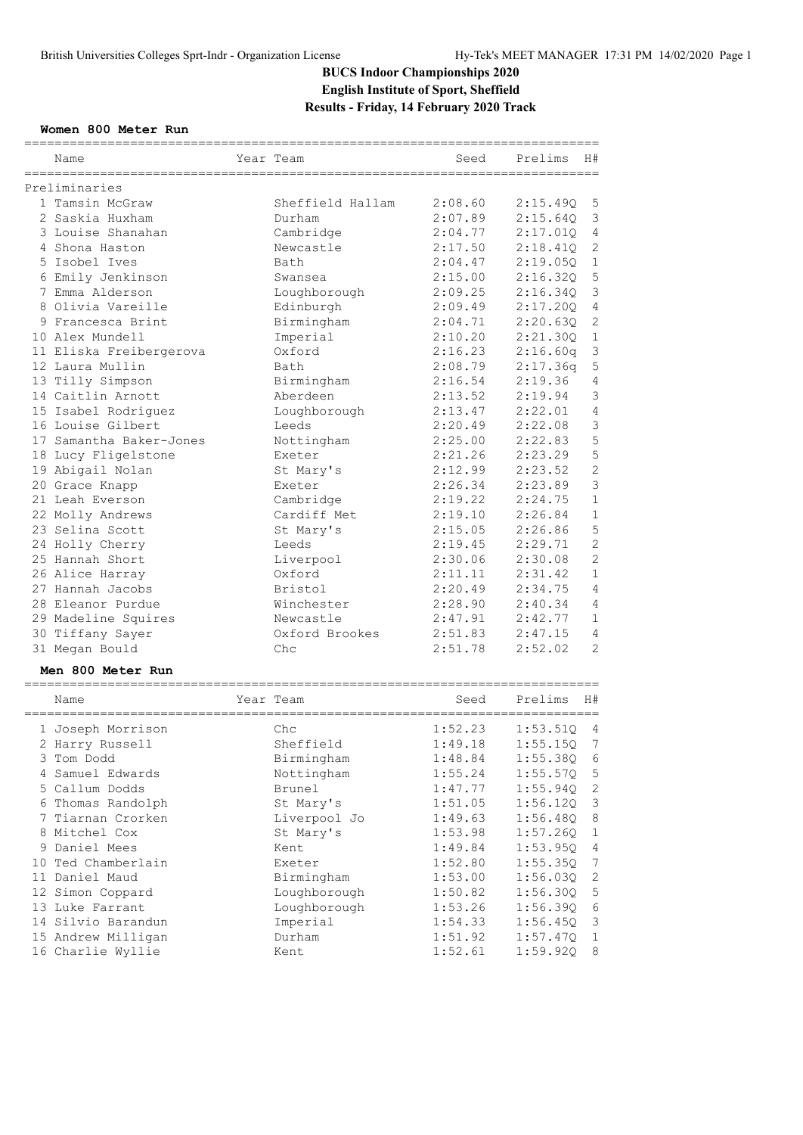# **BUCS Indoor Championships 2020 English Institute of Sport, Sheffield Results - Friday, 14 February 2020 Track**

#### **Women 800 Meter Run**

|                         | ============              | ================================== |              |                |
|-------------------------|---------------------------|------------------------------------|--------------|----------------|
| Name                    | Year Team                 | Seed                               | Prelims      | H#             |
| Preliminaries           |                           |                                    |              |                |
| 1 Tamsin McGraw         | Sheffield Hallam          | 2:08.60                            | 2:15.49Q     | 5              |
| 2 Saskia Huxham         | Durham                    | 2:07.89                            | 2:15.64Q     | $\mathsf 3$    |
| 3 Louise Shanahan       | Cambridge                 | 2:04.77                            | 2:17.01Q     | 4              |
| 4 Shona Haston          | Newcastle                 | 2:17.50                            | 2:18.41Q     | 2              |
| 5 Isobel Ives           | Bath                      | 2:04.47                            | 2:19.05Q     | $\mathbf 1$    |
| 6 Emily Jenkinson       | Swansea                   | 2:15.00                            | 2:16.32Q     | 5              |
| 7 Emma Alderson         |                           | 2:09.25                            | 2:16.34Q     | 3              |
| 8 Olivia Vareille       | Loughborough<br>Edinburgh | 2:09.49                            | 2:17.20Q     | $\overline{4}$ |
|                         |                           |                                    |              | 2              |
| 9 Francesca Brint       | Birmingham                | 2:04.71                            | 2:20.63Q     | $\mathbf 1$    |
| 10 Alex Mundell         | Imperial                  | 2:10.20                            | 2:21.30Q     |                |
| 11 Eliska Freibergerova | Oxford                    | 2:16.23                            | 2:16.60q     | $\mathsf 3$    |
| 12 Laura Mullin         | Bath                      | 2:08.79                            | 2:17.36q     | 5              |
| 13 Tilly Simpson        | Birmingham                | 2:16.54                            | 2:19.36      | $\overline{4}$ |
| 14 Caitlin Arnott       | Aberdeen                  | 2:13.52                            | 2:19.94      | 3              |
| 15 Isabel Rodríguez     | Loughborough              | 2:13.47                            | 2:22.01      | $\sqrt{4}$     |
| 16 Louise Gilbert       | Leeds                     | 2:20.49                            | 2:22.08      | 3              |
| 17 Samantha Baker-Jones | Nottingham                | 2:25.00                            | 2:22.83      | 5              |
| 18 Lucy Fligelstone     | Exeter                    | 2:21.26                            | 2:23.29      | 5              |
| 19 Abigail Nolan        | St Mary's                 | 2:12.99                            | 2:23.52      | $\overline{c}$ |
| 20 Grace Knapp          | Exeter                    | 2:26.34                            | 2:23.89      | 3              |
| 21 Leah Everson         | Cambridge                 | 2:19.22                            | 2:24.75      | $\mathbf{1}$   |
| 22 Molly Andrews        | Cardiff Met               | 2:19.10                            | 2:26.84      | $\mathbf{1}$   |
| 23 Selina Scott         | St Mary's                 | 2:15.05                            | 2:26.86      | 5              |
| 24 Holly Cherry         | Leeds                     | 2:19.45                            | 2:29.71      | $\overline{2}$ |
| 25 Hannah Short         | Liverpool                 | 2:30.06                            | 2:30.08      | $\overline{c}$ |
| 26 Alice Harray         | Oxford                    | 2:11.11                            | 2:31.42      | $\mathbf{1}$   |
| 27 Hannah Jacobs        | Bristol                   | 2:20.49                            | 2:34.75      | $\overline{4}$ |
| 28 Eleanor Purdue       | Winchester                | 2:28.90                            | 2:40.34      | $\overline{4}$ |
| 29 Madeline Squires     | Newcastle                 | 2:47.91                            | 2:42.77      | 1              |
| 30 Tiffany Sayer        | Oxford Brookes            | 2:51.83                            | 2:47.15      | 4              |
| 31 Megan Bould          | Chc                       | 2:51.78                            | 2:52.02      | $\mathfrak{D}$ |
| Men 800 Meter Run       |                           |                                    |              |                |
|                         |                           |                                    |              |                |
| Name                    | Year Team                 | Seed                               | Prelims      | H#             |
| 1 Joseph Morrison       | Chc                       | 1:52.23                            | 1:53.51Q     | 4              |
| 2 Harry Russell         | Sheffield                 | 1:49.18                            | $1:55.15Q$ 7 |                |
| 3 Tom Dodd              | Birmingham                | 1:48.84                            | 1:55.38Q     | 6              |
| 4 Samuel Edwards        | Nottingham                | 1:55.24                            | 1:55.57Q     | 5              |
| 5 Callum Dodds          | Brunel                    | 1:47.77                            | 1:55.94Q     | $\mathbf{2}$   |
| 6 Thomas Randolph       | St Mary's                 | 1:51.05                            | 1:56.12Q     | 3              |
| 7 Tiarnan Crorken       | Liverpool Jo              | 1:49.63                            | 1:56.48Q     | 8              |
| 8 Mitchel Cox           | St Mary's                 | 1:53.98                            | 1:57.260     | 1              |
| 9 Daniel Mees           | Kent                      | 1:49.84                            | 1:53.95Q     | $\overline{4}$ |
| 10 Ted Chamberlain      | Exeter                    | 1:52.80                            | 1:55.35Q     | $\overline{7}$ |
|                         |                           |                                    |              |                |
| 11 Daniel Maud          | Birmingham                | 1:53.00                            | 1:56.03Q     | $\mathbf{2}$   |
| 12 Simon Coppard        | Loughborough              | 1:50.82                            | 1:56.30Q     | 5              |
| 13 Luke Farrant         | Loughborough              | 1:53.26                            | 1:56.39Q     | 6              |
| 14 Silvio Barandun      | Imperial                  | 1:54.33                            | 1:56.45Q     | $\mathsf 3$    |
| 15 Andrew Milligan      | Durham                    | 1:51.92                            | 1:57.47Q     | $\mathbf 1$    |
| 16 Charlie Wyllie       | Kent                      | 1:52.61                            | 1:59.92Q     | 8              |